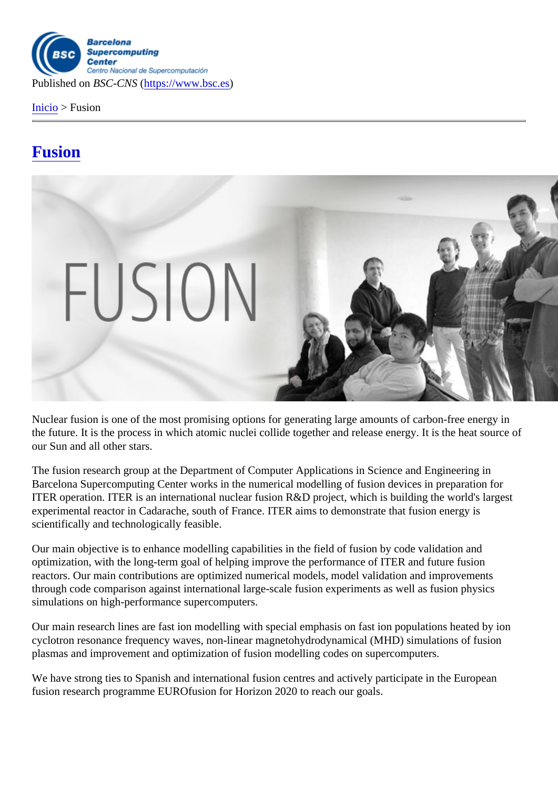Inicio > Fusion

## [Fus](https://www.bsc.es/es)ion

Nuclear fusion is one of the most promising options for generating large amounts of carbon-free energy in the future. It is the process in which atomic nuclei collide together and release energy. It is the heat source of our Sun and all other stars.

The fusion research group at the Department of Computer Applications in Science and Engineering in Barcelona Supercomputing Center works in the numerical modelling of fusion devices in preparation for ITER operation. ITER is an international nuclear fusion R&D project, which is building the world's largest experimental reactor in Cadarache, south of France. ITER aims to demonstrate that fusion energy is scientifically and technologically feasible.

Our main objective is to enhance modelling capabilities in the field of fusion by code validation and optimization, with the long-term goal of helping improve the performance of ITER and future fusion reactors. Our main contributions are optimized numerical models, model validation and improvements through code comparison against international large-scale fusion experiments as well as fusion physics simulations on high-performance supercomputers.

Our main research lines are fast ion modelling with special emphasis on fast ion populations heated by ion cyclotron resonance frequency waves, non-linear magnetohydrodynamical (MHD) simulations of fusion plasmas and improvement and optimization of fusion modelling codes on supercomputers.

We have strong ties to Spanish and international fusion centres and actively participate in the European fusion research programme EUROfusion for Horizon 2020 to reach our goals.